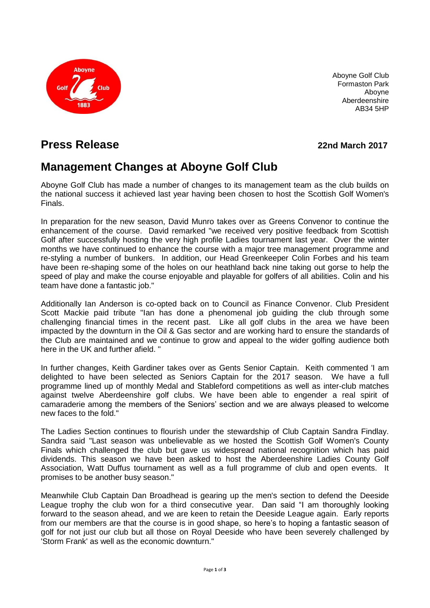

Aboyne Golf Club Formaston Park Aboyne Aberdeenshire AB34 5HP

## **Press Release 22nd March 2017**

# **Management Changes at Aboyne Golf Club**

Aboyne Golf Club has made a number of changes to its management team as the club builds on the national success it achieved last year having been chosen to host the Scottish Golf Women's Finals.

In preparation for the new season, David Munro takes over as Greens Convenor to continue the enhancement of the course. David remarked "we received very positive feedback from Scottish Golf after successfully hosting the very high profile Ladies tournament last year. Over the winter months we have continued to enhance the course with a major tree management programme and re-styling a number of bunkers. In addition, our Head Greenkeeper Colin Forbes and his team have been re-shaping some of the holes on our heathland back nine taking out gorse to help the speed of play and make the course enjoyable and playable for golfers of all abilities. Colin and his team have done a fantastic job."

Additionally Ian Anderson is co-opted back on to Council as Finance Convenor. Club President Scott Mackie paid tribute "Ian has done a phenomenal job guiding the club through some challenging financial times in the recent past. Like all golf clubs in the area we have been impacted by the downturn in the Oil & Gas sector and are working hard to ensure the standards of the Club are maintained and we continue to grow and appeal to the wider golfing audience both here in the UK and further afield. "

In further changes, Keith Gardiner takes over as Gents Senior Captain. Keith commented 'I am delighted to have been selected as Seniors Captain for the 2017 season. We have a full programme lined up of monthly Medal and Stableford competitions as well as inter-club matches against twelve Aberdeenshire golf clubs. We have been able to engender a real spirit of camaraderie among the members of the Seniors' section and we are always pleased to welcome new faces to the fold."

The Ladies Section continues to flourish under the stewardship of Club Captain Sandra Findlay. Sandra said "Last season was unbelievable as we hosted the Scottish Golf Women's County Finals which challenged the club but gave us widespread national recognition which has paid dividends. This season we have been asked to host the Aberdeenshire Ladies County Golf Association, Watt Duffus tournament as well as a full programme of club and open events. It promises to be another busy season."

Meanwhile Club Captain Dan Broadhead is gearing up the men's section to defend the Deeside League trophy the club won for a third consecutive year. Dan said "I am thoroughly looking forward to the season ahead, and we are keen to retain the Deeside League again. Early reports from our members are that the course is in good shape, so here's to hoping a fantastic season of golf for not just our club but all those on Royal Deeside who have been severely challenged by 'Storm Frank' as well as the economic downturn."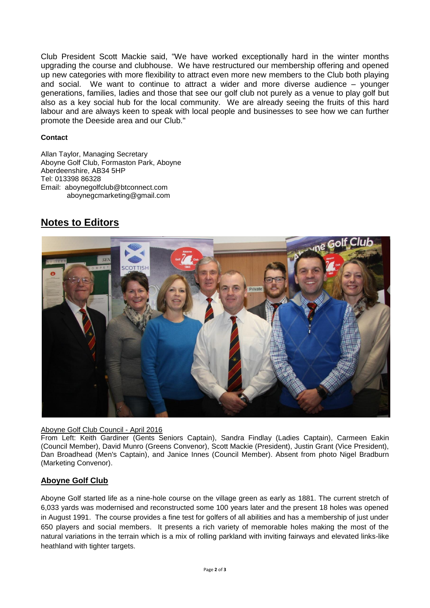Club President Scott Mackie said, "We have worked exceptionally hard in the winter months upgrading the course and clubhouse. We have restructured our membership offering and opened up new categories with more flexibility to attract even more new members to the Club both playing and social. We want to continue to attract a wider and more diverse audience – younger generations, families, ladies and those that see our golf club not purely as a venue to play golf but also as a key social hub for the local community. We are already seeing the fruits of this hard labour and are always keen to speak with local people and businesses to see how we can further promote the Deeside area and our Club."

#### **Contact**

Allan Taylor, Managing Secretary Aboyne Golf Club, Formaston Park, Aboyne Aberdeenshire, AB34 5HP Tel: 013398 86328 Email: aboynegolfclub@btconnect.com aboynegcmarketing@gmail.com

## **Notes to Editors**



### Aboyne Golf Club Council - April 2016

From Left: Keith Gardiner (Gents Seniors Captain), Sandra Findlay (Ladies Captain), Carmeen Eakin (Council Member), David Munro (Greens Convenor), Scott Mackie (President), Justin Grant (Vice President), Dan Broadhead (Men's Captain), and Janice Innes (Council Member). Absent from photo Nigel Bradburn (Marketing Convenor).

### **Aboyne Golf Club**

Aboyne Golf started life as a nine-hole course on the village green as early as 1881. The current stretch of 6,033 yards was modernised and reconstructed some 100 years later and the present 18 holes was opened in August 1991. The course provides a fine test for golfers of all abilities and has a membership of just under 650 players and social members. It presents a rich variety of memorable holes making the most of the natural variations in the terrain which is a mix of rolling parkland with inviting fairways and elevated links-like heathland with tighter targets.